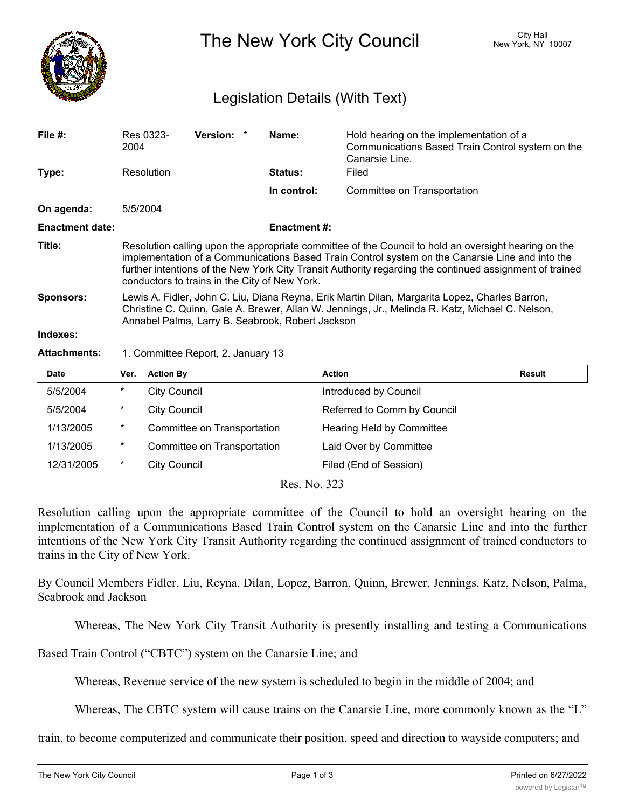

The New York City Council New York, NY 10007

## Legislation Details (With Text)

| File $#$ :             | 2004                                                                                                                                                                                                                                                                                                                                                                | Res 0323-           | <b>Version:</b>             | Name:              | Hold hearing on the implementation of a<br>Communications Based Train Control system on the<br>Canarsie Line. |               |
|------------------------|---------------------------------------------------------------------------------------------------------------------------------------------------------------------------------------------------------------------------------------------------------------------------------------------------------------------------------------------------------------------|---------------------|-----------------------------|--------------------|---------------------------------------------------------------------------------------------------------------|---------------|
| Type:                  |                                                                                                                                                                                                                                                                                                                                                                     | Resolution          |                             | Status:            | Filed                                                                                                         |               |
|                        |                                                                                                                                                                                                                                                                                                                                                                     |                     |                             | In control:        | Committee on Transportation                                                                                   |               |
| On agenda:             |                                                                                                                                                                                                                                                                                                                                                                     | 5/5/2004            |                             |                    |                                                                                                               |               |
| <b>Enactment date:</b> |                                                                                                                                                                                                                                                                                                                                                                     |                     |                             | <b>Enactment#:</b> |                                                                                                               |               |
| Title:                 | Resolution calling upon the appropriate committee of the Council to hold an oversight hearing on the<br>implementation of a Communications Based Train Control system on the Canarsie Line and into the<br>further intentions of the New York City Transit Authority regarding the continued assignment of trained<br>conductors to trains in the City of New York. |                     |                             |                    |                                                                                                               |               |
| <b>Sponsors:</b>       | Lewis A. Fidler, John C. Liu, Diana Reyna, Erik Martin Dilan, Margarita Lopez, Charles Barron,<br>Christine C. Quinn, Gale A. Brewer, Allan W. Jennings, Jr., Melinda R. Katz, Michael C. Nelson,<br>Annabel Palma, Larry B. Seabrook, Robert Jackson                                                                                                               |                     |                             |                    |                                                                                                               |               |
| Indexes:               |                                                                                                                                                                                                                                                                                                                                                                     |                     |                             |                    |                                                                                                               |               |
| <b>Attachments:</b>    | 1. Committee Report, 2. January 13                                                                                                                                                                                                                                                                                                                                  |                     |                             |                    |                                                                                                               |               |
| <b>Date</b>            | Ver.                                                                                                                                                                                                                                                                                                                                                                | <b>Action By</b>    |                             |                    | <b>Action</b>                                                                                                 | <b>Result</b> |
| 5/5/2004               | $^\star$                                                                                                                                                                                                                                                                                                                                                            | <b>City Council</b> |                             |                    | Introduced by Council                                                                                         |               |
| 5/5/2004               | *                                                                                                                                                                                                                                                                                                                                                                   | <b>City Council</b> |                             |                    | Referred to Comm by Council                                                                                   |               |
| 1/13/2005              | *                                                                                                                                                                                                                                                                                                                                                                   |                     | Committee on Transportation |                    | Hearing Held by Committee                                                                                     |               |

| 1/13/2005  | $\ast$ | Committee on Transportation | Laid Over by Committee |
|------------|--------|-----------------------------|------------------------|
| 12/31/2005 |        | City Council                | Filed (End of Session) |

Res. No. 323

Resolution calling upon the appropriate committee of the Council to hold an oversight hearing on the implementation of a Communications Based Train Control system on the Canarsie Line and into the further intentions of the New York City Transit Authority regarding the continued assignment of trained conductors to trains in the City of New York.

By Council Members Fidler, Liu, Reyna, Dilan, Lopez, Barron, Quinn, Brewer, Jennings, Katz, Nelson, Palma, Seabrook and Jackson

Whereas, The New York City Transit Authority is presently installing and testing a Communications

Based Train Control ("CBTC") system on the Canarsie Line; and

Whereas, Revenue service of the new system is scheduled to begin in the middle of 2004; and

Whereas, The CBTC system will cause trains on the Canarsie Line, more commonly known as the "L"

train, to become computerized and communicate their position, speed and direction to wayside computers; and